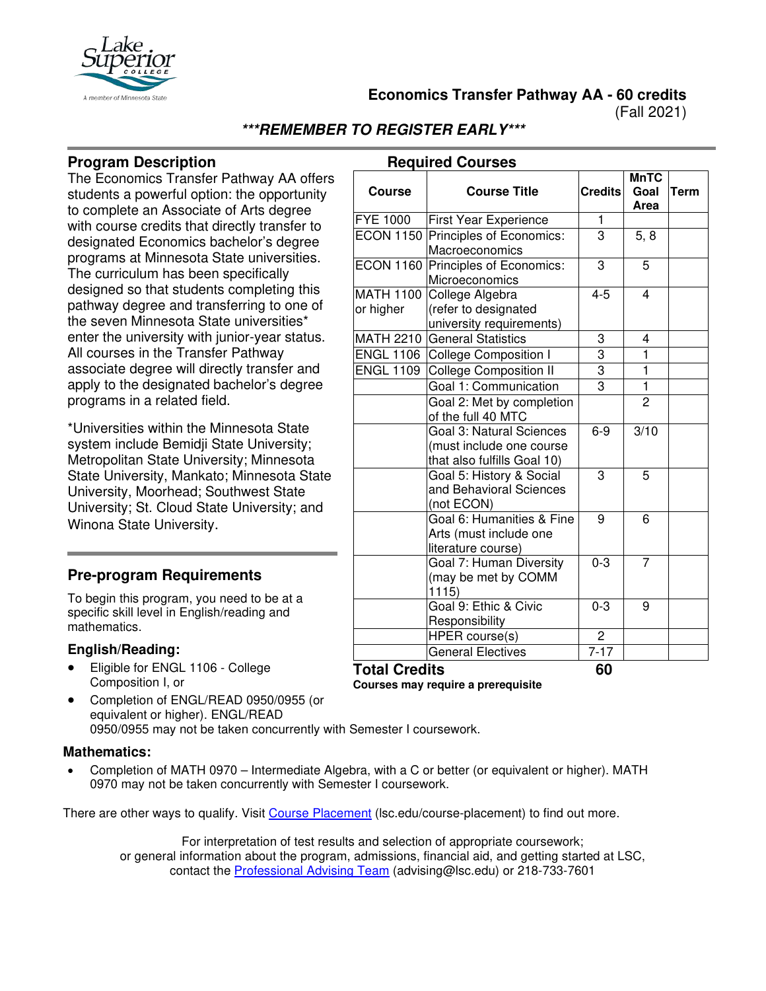

**Economics Transfer Pathway AA - 60 credits**

(Fall 2021)

# **\*\*\*REMEMBER TO REGISTER EARLY\*\*\***

#### **Program Description**

The Economics Transfer Pathway AA offers students a powerful option: the opportunity to complete an Associate of Arts degree with course credits that directly transfer to designated Economics bachelor's degree programs at Minnesota State universities. The curriculum has been specifically designed so that students completing this pathway degree and transferring to one of the seven Minnesota State universities\* enter the university with junior-year status. All courses in the Transfer Pathway associate degree will directly transfer and apply to the designated bachelor's degree programs in a related field.

\*Universities within the Minnesota State system include Bemidji State University; Metropolitan State University; Minnesota State University, Mankato; Minnesota State University, Moorhead; Southwest State University; St. Cloud State University; and Winona State University.

### **Pre-program Requirements**

To begin this program, you need to be at a specific skill level in English/reading and mathematics.

#### **English/Reading:**

- Eligible for ENGL 1106 College Composition I, or
- Responsibility **Total Credits 60 Courses may require a prerequisite**
- Completion of ENGL/READ 0950/0955 (or equivalent or higher). ENGL/READ 0950/0955 may not be taken concurrently with Semester I coursework.

#### **Mathematics:**

• Completion of MATH 0970 – Intermediate Algebra, with a C or better (or equivalent or higher). MATH 0970 may not be taken concurrently with Semester I coursework.

There are other ways to qualify. Visit [Course Placement](https://www.lsc.edu/course-placement) (lsc.edu/course-placement) to find out more.

For interpretation of test results and selection of appropriate coursework; or general information about the program, admissions, financial aid, and getting started at LSC, contact the [Professional Advising Team](mailto:advising@lsc.edu) (advising@lsc.edu) or 218-733-7601

| <b>Course Title</b><br><b>Credits</b><br><b>Course</b><br>Goal<br>Term<br>Area<br><b>FYE 1000</b><br>1<br><b>First Year Experience</b><br><b>ECON 1150 Principles of Economics:</b><br>3<br>5, 8<br>Macroeconomics<br>ECON 1160 Principles of Economics:<br>3<br>5<br>Microeconomics<br><b>MATH 1100</b><br>College Algebra<br>$4 - 5$<br>4<br>(refer to designated<br>or higher<br>university requirements)<br>MATH 2210 General Statistics<br>3<br>4<br>3<br>ENGL 1106 College Composition I<br>1<br>$\overline{3}$<br><b>ENGL 1109</b><br>$\mathbf{1}$<br><b>College Composition II</b><br>$\overline{3}$<br>$\mathbf{1}$<br>Goal 1: Communication<br>$\overline{2}$<br>Goal 2: Met by completion<br>of the full 40 MTC<br>Goal 3: Natural Sciences<br>3/10<br>$6-9$<br>(must include one course<br>that also fulfills Goal 10)<br>3<br>Goal 5: History & Social<br>5<br>and Behavioral Sciences<br>(not ECON)<br>Goal 6: Humanities & Fine<br>9<br>6<br>Arts (must include one<br>literature course)<br>Goal 7: Human Diversity<br>$0 - 3$<br>7<br>(may be met by COMM<br>1115<br>Goal 9: Ethic & Civic<br>$0 - 3$<br>9<br>Responsibility<br>HPER course(s)<br>2<br><b>General Electives</b><br>$7 - 17$ | <b>Required Courses</b> |  |  |             |  |
|--------------------------------------------------------------------------------------------------------------------------------------------------------------------------------------------------------------------------------------------------------------------------------------------------------------------------------------------------------------------------------------------------------------------------------------------------------------------------------------------------------------------------------------------------------------------------------------------------------------------------------------------------------------------------------------------------------------------------------------------------------------------------------------------------------------------------------------------------------------------------------------------------------------------------------------------------------------------------------------------------------------------------------------------------------------------------------------------------------------------------------------------------------------------------------------------------------------|-------------------------|--|--|-------------|--|
|                                                                                                                                                                                                                                                                                                                                                                                                                                                                                                                                                                                                                                                                                                                                                                                                                                                                                                                                                                                                                                                                                                                                                                                                              |                         |  |  | <b>MnTC</b> |  |
|                                                                                                                                                                                                                                                                                                                                                                                                                                                                                                                                                                                                                                                                                                                                                                                                                                                                                                                                                                                                                                                                                                                                                                                                              |                         |  |  |             |  |
|                                                                                                                                                                                                                                                                                                                                                                                                                                                                                                                                                                                                                                                                                                                                                                                                                                                                                                                                                                                                                                                                                                                                                                                                              |                         |  |  |             |  |
|                                                                                                                                                                                                                                                                                                                                                                                                                                                                                                                                                                                                                                                                                                                                                                                                                                                                                                                                                                                                                                                                                                                                                                                                              |                         |  |  |             |  |
|                                                                                                                                                                                                                                                                                                                                                                                                                                                                                                                                                                                                                                                                                                                                                                                                                                                                                                                                                                                                                                                                                                                                                                                                              |                         |  |  |             |  |
|                                                                                                                                                                                                                                                                                                                                                                                                                                                                                                                                                                                                                                                                                                                                                                                                                                                                                                                                                                                                                                                                                                                                                                                                              |                         |  |  |             |  |
|                                                                                                                                                                                                                                                                                                                                                                                                                                                                                                                                                                                                                                                                                                                                                                                                                                                                                                                                                                                                                                                                                                                                                                                                              |                         |  |  |             |  |
|                                                                                                                                                                                                                                                                                                                                                                                                                                                                                                                                                                                                                                                                                                                                                                                                                                                                                                                                                                                                                                                                                                                                                                                                              |                         |  |  |             |  |
|                                                                                                                                                                                                                                                                                                                                                                                                                                                                                                                                                                                                                                                                                                                                                                                                                                                                                                                                                                                                                                                                                                                                                                                                              |                         |  |  |             |  |
|                                                                                                                                                                                                                                                                                                                                                                                                                                                                                                                                                                                                                                                                                                                                                                                                                                                                                                                                                                                                                                                                                                                                                                                                              |                         |  |  |             |  |
|                                                                                                                                                                                                                                                                                                                                                                                                                                                                                                                                                                                                                                                                                                                                                                                                                                                                                                                                                                                                                                                                                                                                                                                                              |                         |  |  |             |  |
|                                                                                                                                                                                                                                                                                                                                                                                                                                                                                                                                                                                                                                                                                                                                                                                                                                                                                                                                                                                                                                                                                                                                                                                                              |                         |  |  |             |  |
|                                                                                                                                                                                                                                                                                                                                                                                                                                                                                                                                                                                                                                                                                                                                                                                                                                                                                                                                                                                                                                                                                                                                                                                                              |                         |  |  |             |  |
|                                                                                                                                                                                                                                                                                                                                                                                                                                                                                                                                                                                                                                                                                                                                                                                                                                                                                                                                                                                                                                                                                                                                                                                                              |                         |  |  |             |  |
|                                                                                                                                                                                                                                                                                                                                                                                                                                                                                                                                                                                                                                                                                                                                                                                                                                                                                                                                                                                                                                                                                                                                                                                                              |                         |  |  |             |  |
|                                                                                                                                                                                                                                                                                                                                                                                                                                                                                                                                                                                                                                                                                                                                                                                                                                                                                                                                                                                                                                                                                                                                                                                                              |                         |  |  |             |  |
|                                                                                                                                                                                                                                                                                                                                                                                                                                                                                                                                                                                                                                                                                                                                                                                                                                                                                                                                                                                                                                                                                                                                                                                                              |                         |  |  |             |  |

#### **Required Courses**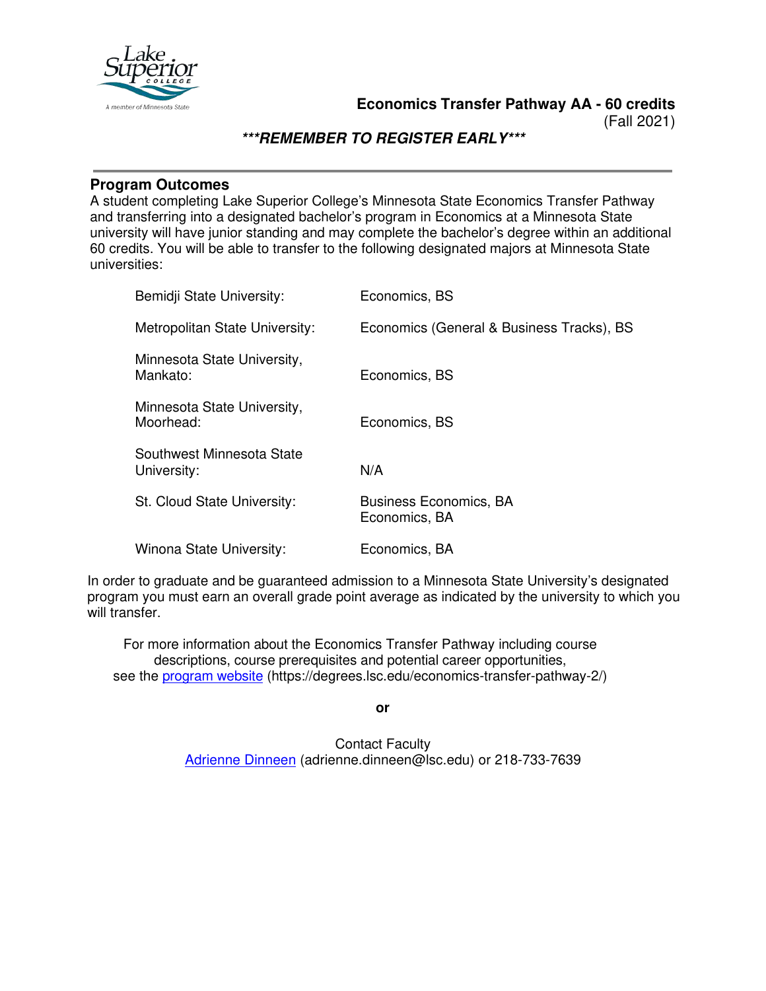

(Fall 2021)

## **\*\*\*REMEMBER TO REGISTER EARLY\*\*\***

### **Program Outcomes**

A student completing Lake Superior College's Minnesota State Economics Transfer Pathway and transferring into a designated bachelor's program in Economics at a Minnesota State university will have junior standing and may complete the bachelor's degree within an additional 60 credits. You will be able to transfer to the following designated majors at Minnesota State universities:

| Bemidji State University:                | Economics, BS                                  |
|------------------------------------------|------------------------------------------------|
| Metropolitan State University:           | Economics (General & Business Tracks), BS      |
| Minnesota State University,<br>Mankato:  | Economics, BS                                  |
| Minnesota State University,<br>Moorhead: | Economics, BS                                  |
| Southwest Minnesota State<br>University: | N/A                                            |
| St. Cloud State University:              | <b>Business Economics, BA</b><br>Economics, BA |
| Winona State University:                 | Economics, BA                                  |

In order to graduate and be guaranteed admission to a Minnesota State University's designated program you must earn an overall grade point average as indicated by the university to which you will transfer.

For more information about the Economics Transfer Pathway including course descriptions, course prerequisites and potential career opportunities, see the [program website](https://degrees.lsc.edu/economics-transfer-pathway-2/) (https://degrees.lsc.edu/economics-transfer-pathway-2/)

**or**

Contact Faculty [Adrienne Dinneen](mailto:adrienne.dinneen@lsc.edu) (adrienne.dinneen@lsc.edu) or 218-733-7639